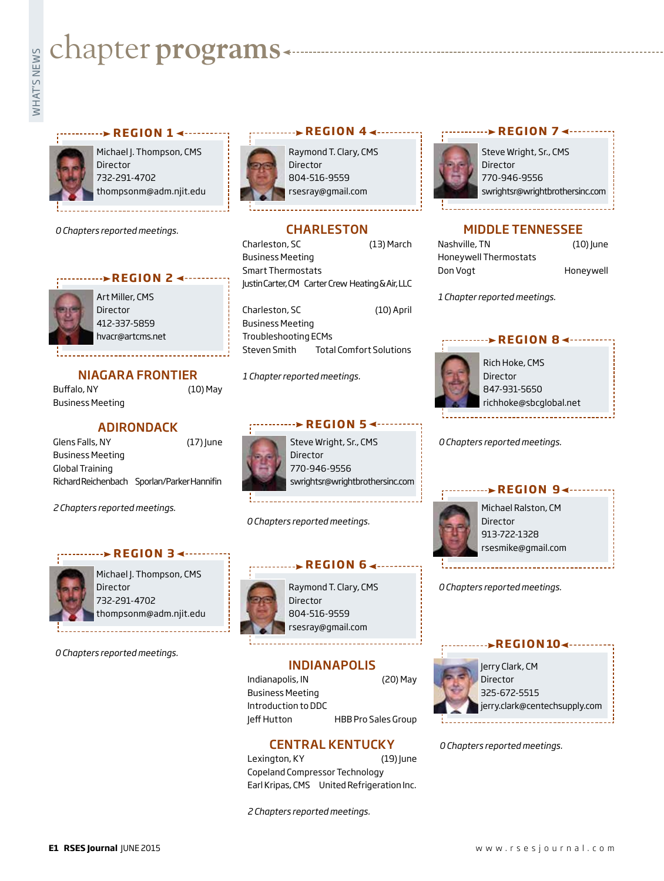# chapter **programs**



Michael J. Thompson, CMS Director 732-291-4702 thompsonm@adm.njit.edu

**REGION 1**

*0 Chapters reported meetings.*





Art Miller, CMS Director 412-337-5859 hvacr@artcms.net

#### NIAGARA FRONTIER

Buffalo, NY (10) May Business Meeting

#### ADIRONDACK

Glens Falls, NY (17) June Business Meeting Global Training Richard Reichenbach Sporlan/Parker Hannifin

*2 Chapters reported meetings.*

#### **REGION 3 <-------**



Michael J. Thompson, CMS Director 732-291-4702 thompsonm@adm.njit.edu

*0 Chapters reported meetings.*



Raymond T. Clary, CMS Director 804-516-9559 rsesray@gmail.com

**REGION 44 - - - - - - - - - - - -**

### **CHARLESTON**

Charleston, SC (13) March Business Meeting Smart Thermostats Justin Carter, CM Carter Crew Heating & Air, LLC

Charleston, SC (10) April Business Meeting Troubleshooting ECMs Steven Smith Total Comfort Solutions

*1 Chapter reported meetings.*



Director 770-946-9556 swrightsr@wrightbrothersinc.com

*0 Chapters reported meetings.*



Raymond T. Clary, CMS Director 804-516-9559 rsesray@gmail.com

**REGION 6**

INDIANAPOLIS

Indianapolis, IN (20) May Business Meeting Introduction to DDC Jeff Hutton HBB Pro Sales Group

#### CENTRAL KENTUCKY

Lexington, KY (19) June Copeland Compressor Technology Earl Kripas, CMS United Refrigeration Inc.

*2 Chapters reported meetings.*



## MIDDLE TENNESSEE

**REGION 7 <----------**

| ГНРРЕЕ ГЕММЕЭЭЕЕ      |             |
|-----------------------|-------------|
| Nashville, TN         | $(10)$ June |
| Honeywell Thermostats |             |
| Don Vogt              | Honeywell   |

*1 Chapter reported meetings.*

#### **EXAMPLE B REGION 8**



Rich Hoke, CMS Director 847-931-5650 richhoke@sbcglobal.net

*0 Chapters reported meetings.*

#### **REGION 9**



Michael Ralston, CM Director 913-722-1328 rsesmike@gmail.com

*0 Chapters reported meetings.*



*0 Chapters reported meetings.*